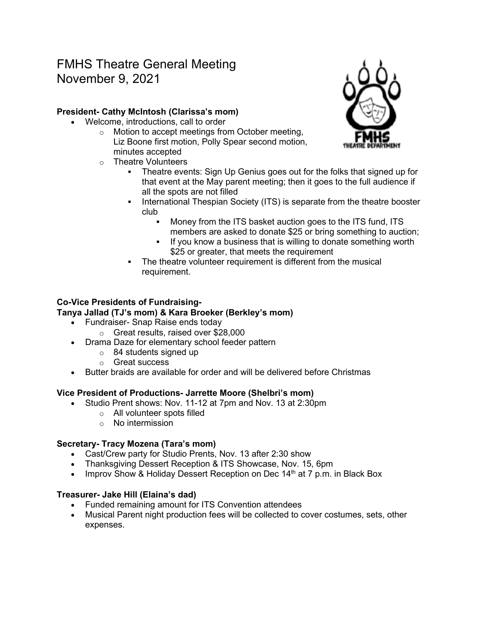# FMHS Theatre General Meeting November 9, 2021

# **President- Cathy McIntosh (Clarissa's mom)**

- Welcome, introductions, call to order
	- o Motion to accept meetings from October meeting, Liz Boone first motion, Polly Spear second motion, minutes accepted
	- o Theatre Volunteers
		- Theatre events: Sign Up Genius goes out for the folks that signed up for that event at the May parent meeting; then it goes to the full audience if all the spots are not filled
		- International Thespian Society (ITS) is separate from the theatre booster club
			- Money from the ITS basket auction goes to the ITS fund, ITS members are asked to donate \$25 or bring something to auction;
			- If you know a business that is willing to donate something worth \$25 or greater, that meets the requirement
		- The theatre volunteer requirement is different from the musical requirement.

## **Co-Vice Presidents of Fundraising-**

## **Tanya Jallad (TJ's mom) & Kara Broeker (Berkley's mom)**

- Fundraiser- Snap Raise ends today
	- o Great results, raised over \$28,000
- Drama Daze for elementary school feeder pattern
	- $\circ$  84 students signed up
	- o Great success
- Butter braids are available for order and will be delivered before Christmas

## **Vice President of Productions- Jarrette Moore (Shelbri's mom)**

- Studio Prent shows: Nov. 11-12 at 7pm and Nov. 13 at 2:30pm
	- o All volunteer spots filled
	- $\circ$  No intermission

## **Secretary- Tracy Mozena (Tara's mom)**

- Cast/Crew party for Studio Prents, Nov. 13 after 2:30 show
- Thanksgiving Dessert Reception & ITS Showcase, Nov. 15, 6pm
- Improv Show & Holiday Dessert Reception on Dec  $14<sup>th</sup>$  at 7 p.m. in Black Box

## **Treasurer- Jake Hill (Elaina's dad)**

- Funded remaining amount for ITS Convention attendees
- Musical Parent night production fees will be collected to cover costumes, sets, other expenses.